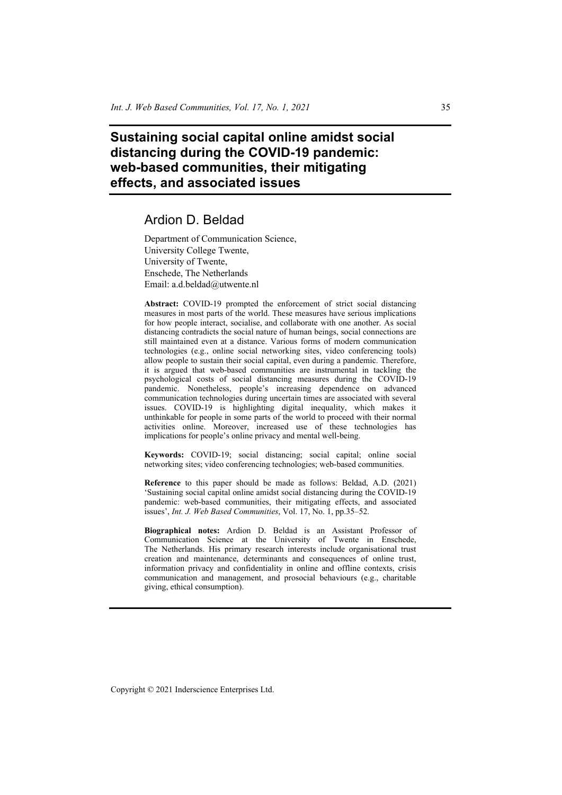# **Sustaining social capital online amidst social distancing during the COVID-19 pandemic: web-based communities, their mitigating effects, and associated issues**

## Ardion D. Beldad

Department of Communication Science, University College Twente, University of Twente, Enschede, The Netherlands Email: a.d.beldad@utwente.nl

**Abstract:** COVID-19 prompted the enforcement of strict social distancing measures in most parts of the world. These measures have serious implications for how people interact, socialise, and collaborate with one another. As social distancing contradicts the social nature of human beings, social connections are still maintained even at a distance. Various forms of modern communication technologies (e.g., online social networking sites, video conferencing tools) allow people to sustain their social capital, even during a pandemic. Therefore, it is argued that web-based communities are instrumental in tackling the psychological costs of social distancing measures during the COVID-19 pandemic. Nonetheless, people's increasing dependence on advanced communication technologies during uncertain times are associated with several issues. COVID-19 is highlighting digital inequality, which makes it unthinkable for people in some parts of the world to proceed with their normal activities online. Moreover, increased use of these technologies has implications for people's online privacy and mental well-being.

**Keywords:** COVID-19; social distancing; social capital; online social networking sites; video conferencing technologies; web-based communities.

**Reference** to this paper should be made as follows: Beldad, A.D. (2021) 'Sustaining social capital online amidst social distancing during the COVID-19 pandemic: web-based communities, their mitigating effects, and associated issues', *Int. J. Web Based Communities*, Vol. 17, No. 1, pp.35–52.

**Biographical notes:** Ardion D. Beldad is an Assistant Professor of Communication Science at the University of Twente in Enschede, The Netherlands. His primary research interests include organisational trust creation and maintenance, determinants and consequences of online trust, information privacy and confidentiality in online and offline contexts, crisis communication and management, and prosocial behaviours (e.g., charitable giving, ethical consumption).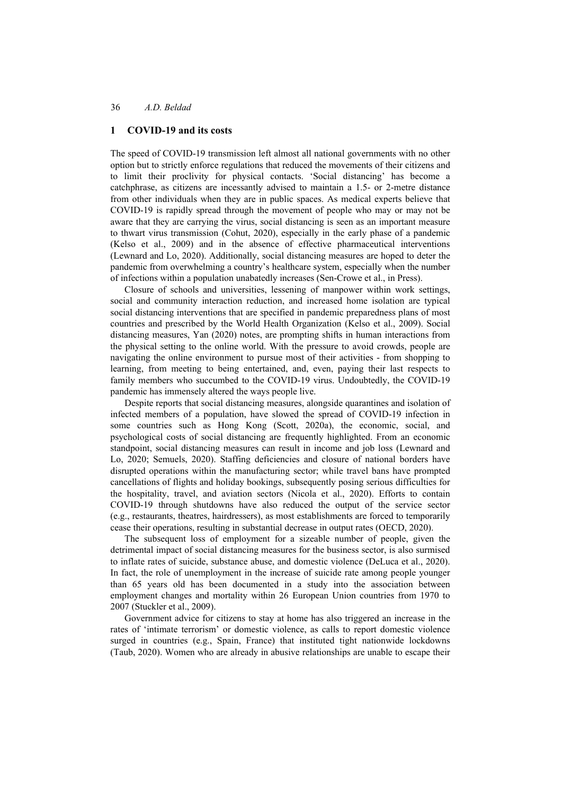#### **1 COVID-19 and its costs**

The speed of COVID-19 transmission left almost all national governments with no other option but to strictly enforce regulations that reduced the movements of their citizens and to limit their proclivity for physical contacts. 'Social distancing' has become a catchphrase, as citizens are incessantly advised to maintain a 1.5- or 2-metre distance from other individuals when they are in public spaces. As medical experts believe that COVID-19 is rapidly spread through the movement of people who may or may not be aware that they are carrying the virus, social distancing is seen as an important measure to thwart virus transmission (Cohut, 2020), especially in the early phase of a pandemic (Kelso et al., 2009) and in the absence of effective pharmaceutical interventions (Lewnard and Lo, 2020). Additionally, social distancing measures are hoped to deter the pandemic from overwhelming a country's healthcare system, especially when the number of infections within a population unabatedly increases (Sen-Crowe et al., in Press).

Closure of schools and universities, lessening of manpower within work settings, social and community interaction reduction, and increased home isolation are typical social distancing interventions that are specified in pandemic preparedness plans of most countries and prescribed by the World Health Organization (Kelso et al., 2009). Social distancing measures, Yan (2020) notes, are prompting shifts in human interactions from the physical setting to the online world. With the pressure to avoid crowds, people are navigating the online environment to pursue most of their activities - from shopping to learning, from meeting to being entertained, and, even, paying their last respects to family members who succumbed to the COVID-19 virus. Undoubtedly, the COVID-19 pandemic has immensely altered the ways people live.

Despite reports that social distancing measures, alongside quarantines and isolation of infected members of a population, have slowed the spread of COVID-19 infection in some countries such as Hong Kong (Scott, 2020a), the economic, social, and psychological costs of social distancing are frequently highlighted. From an economic standpoint, social distancing measures can result in income and job loss (Lewnard and Lo, 2020; Semuels, 2020). Staffing deficiencies and closure of national borders have disrupted operations within the manufacturing sector; while travel bans have prompted cancellations of flights and holiday bookings, subsequently posing serious difficulties for the hospitality, travel, and aviation sectors (Nicola et al., 2020). Efforts to contain COVID-19 through shutdowns have also reduced the output of the service sector (e.g., restaurants, theatres, hairdressers), as most establishments are forced to temporarily cease their operations, resulting in substantial decrease in output rates (OECD, 2020).

The subsequent loss of employment for a sizeable number of people, given the detrimental impact of social distancing measures for the business sector, is also surmised to inflate rates of suicide, substance abuse, and domestic violence (DeLuca et al., 2020). In fact, the role of unemployment in the increase of suicide rate among people younger than 65 years old has been documented in a study into the association between employment changes and mortality within 26 European Union countries from 1970 to 2007 (Stuckler et al., 2009).

Government advice for citizens to stay at home has also triggered an increase in the rates of 'intimate terrorism' or domestic violence, as calls to report domestic violence surged in countries (e.g., Spain, France) that instituted tight nationwide lockdowns (Taub, 2020). Women who are already in abusive relationships are unable to escape their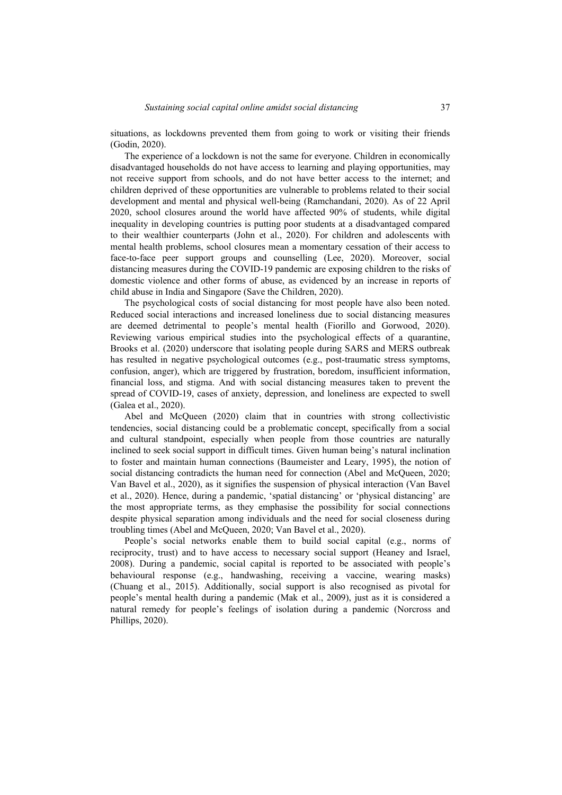situations, as lockdowns prevented them from going to work or visiting their friends (Godin, 2020).

The experience of a lockdown is not the same for everyone. Children in economically disadvantaged households do not have access to learning and playing opportunities, may not receive support from schools, and do not have better access to the internet; and children deprived of these opportunities are vulnerable to problems related to their social development and mental and physical well-being (Ramchandani, 2020). As of 22 April 2020, school closures around the world have affected 90% of students, while digital inequality in developing countries is putting poor students at a disadvantaged compared to their wealthier counterparts (John et al., 2020). For children and adolescents with mental health problems, school closures mean a momentary cessation of their access to face-to-face peer support groups and counselling (Lee, 2020). Moreover, social distancing measures during the COVID-19 pandemic are exposing children to the risks of domestic violence and other forms of abuse, as evidenced by an increase in reports of child abuse in India and Singapore (Save the Children, 2020).

The psychological costs of social distancing for most people have also been noted. Reduced social interactions and increased loneliness due to social distancing measures are deemed detrimental to people's mental health (Fiorillo and Gorwood, 2020). Reviewing various empirical studies into the psychological effects of a quarantine, Brooks et al. (2020) underscore that isolating people during SARS and MERS outbreak has resulted in negative psychological outcomes (e.g., post-traumatic stress symptoms, confusion, anger), which are triggered by frustration, boredom, insufficient information, financial loss, and stigma. And with social distancing measures taken to prevent the spread of COVID-19, cases of anxiety, depression, and loneliness are expected to swell (Galea et al., 2020).

Abel and McQueen (2020) claim that in countries with strong collectivistic tendencies, social distancing could be a problematic concept, specifically from a social and cultural standpoint, especially when people from those countries are naturally inclined to seek social support in difficult times. Given human being's natural inclination to foster and maintain human connections (Baumeister and Leary, 1995), the notion of social distancing contradicts the human need for connection (Abel and McQueen, 2020; Van Bavel et al., 2020), as it signifies the suspension of physical interaction (Van Bavel et al., 2020). Hence, during a pandemic, 'spatial distancing' or 'physical distancing' are the most appropriate terms, as they emphasise the possibility for social connections despite physical separation among individuals and the need for social closeness during troubling times (Abel and McQueen, 2020; Van Bavel et al., 2020).

People's social networks enable them to build social capital (e.g., norms of reciprocity, trust) and to have access to necessary social support (Heaney and Israel, 2008). During a pandemic, social capital is reported to be associated with people's behavioural response (e.g., handwashing, receiving a vaccine, wearing masks) (Chuang et al., 2015). Additionally, social support is also recognised as pivotal for people's mental health during a pandemic (Mak et al., 2009), just as it is considered a natural remedy for people's feelings of isolation during a pandemic (Norcross and Phillips, 2020).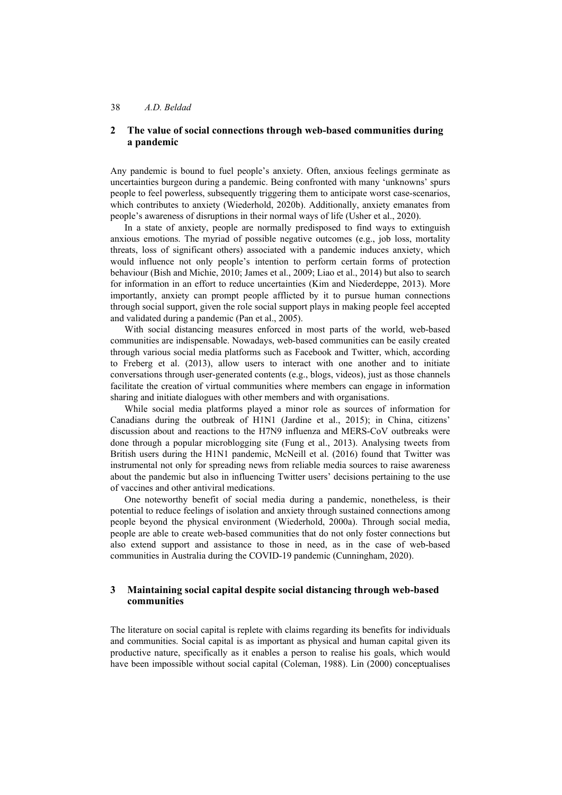## **2 The value of social connections through web-based communities during a pandemic**

Any pandemic is bound to fuel people's anxiety. Often, anxious feelings germinate as uncertainties burgeon during a pandemic. Being confronted with many 'unknowns' spurs people to feel powerless, subsequently triggering them to anticipate worst case-scenarios, which contributes to anxiety (Wiederhold, 2020b). Additionally, anxiety emanates from people's awareness of disruptions in their normal ways of life (Usher et al., 2020).

In a state of anxiety, people are normally predisposed to find ways to extinguish anxious emotions. The myriad of possible negative outcomes (e.g., job loss, mortality threats, loss of significant others) associated with a pandemic induces anxiety, which would influence not only people's intention to perform certain forms of protection behaviour (Bish and Michie, 2010; James et al., 2009; Liao et al., 2014) but also to search for information in an effort to reduce uncertainties (Kim and Niederdeppe, 2013). More importantly, anxiety can prompt people afflicted by it to pursue human connections through social support, given the role social support plays in making people feel accepted and validated during a pandemic (Pan et al., 2005).

With social distancing measures enforced in most parts of the world, web-based communities are indispensable. Nowadays, web-based communities can be easily created through various social media platforms such as Facebook and Twitter, which, according to Freberg et al. (2013), allow users to interact with one another and to initiate conversations through user-generated contents (e.g., blogs, videos), just as those channels facilitate the creation of virtual communities where members can engage in information sharing and initiate dialogues with other members and with organisations.

While social media platforms played a minor role as sources of information for Canadians during the outbreak of H1N1 (Jardine et al., 2015); in China, citizens' discussion about and reactions to the H7N9 influenza and MERS-CoV outbreaks were done through a popular microblogging site (Fung et al., 2013). Analysing tweets from British users during the H1N1 pandemic, McNeill et al. (2016) found that Twitter was instrumental not only for spreading news from reliable media sources to raise awareness about the pandemic but also in influencing Twitter users' decisions pertaining to the use of vaccines and other antiviral medications.

One noteworthy benefit of social media during a pandemic, nonetheless, is their potential to reduce feelings of isolation and anxiety through sustained connections among people beyond the physical environment (Wiederhold, 2000a). Through social media, people are able to create web-based communities that do not only foster connections but also extend support and assistance to those in need, as in the case of web-based communities in Australia during the COVID-19 pandemic (Cunningham, 2020).

## **3 Maintaining social capital despite social distancing through web-based communities**

The literature on social capital is replete with claims regarding its benefits for individuals and communities. Social capital is as important as physical and human capital given its productive nature, specifically as it enables a person to realise his goals, which would have been impossible without social capital (Coleman, 1988). Lin (2000) conceptualises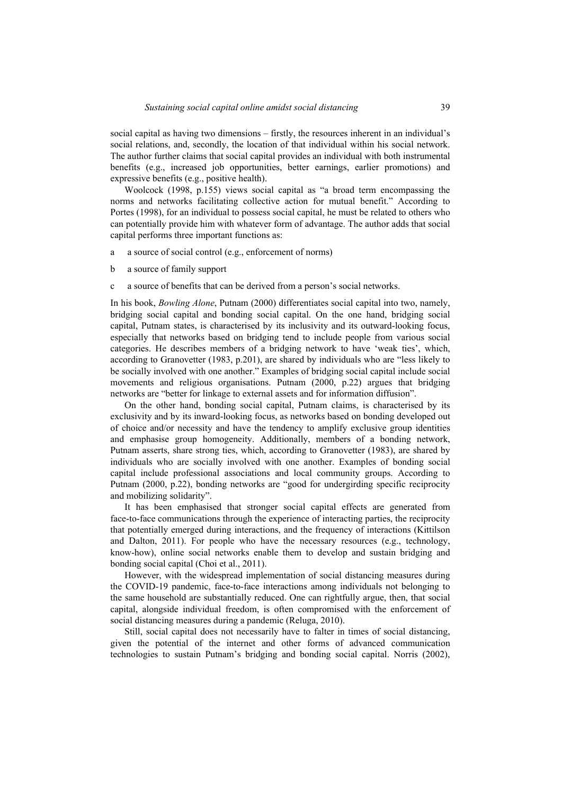social capital as having two dimensions – firstly, the resources inherent in an individual's social relations, and, secondly, the location of that individual within his social network. The author further claims that social capital provides an individual with both instrumental benefits (e.g., increased job opportunities, better earnings, earlier promotions) and expressive benefits (e.g., positive health).

Woolcock (1998, p.155) views social capital as "a broad term encompassing the norms and networks facilitating collective action for mutual benefit." According to Portes (1998), for an individual to possess social capital, he must be related to others who can potentially provide him with whatever form of advantage. The author adds that social capital performs three important functions as:

- a a source of social control (e.g., enforcement of norms)
- b a source of family support
- c a source of benefits that can be derived from a person's social networks.

In his book, *Bowling Alone*, Putnam (2000) differentiates social capital into two, namely, bridging social capital and bonding social capital. On the one hand, bridging social capital, Putnam states, is characterised by its inclusivity and its outward-looking focus, especially that networks based on bridging tend to include people from various social categories. He describes members of a bridging network to have 'weak ties', which, according to Granovetter (1983, p.201), are shared by individuals who are "less likely to be socially involved with one another." Examples of bridging social capital include social movements and religious organisations. Putnam (2000, p.22) argues that bridging networks are "better for linkage to external assets and for information diffusion".

On the other hand, bonding social capital, Putnam claims, is characterised by its exclusivity and by its inward-looking focus, as networks based on bonding developed out of choice and/or necessity and have the tendency to amplify exclusive group identities and emphasise group homogeneity. Additionally, members of a bonding network, Putnam asserts, share strong ties, which, according to Granovetter (1983), are shared by individuals who are socially involved with one another. Examples of bonding social capital include professional associations and local community groups. According to Putnam (2000, p.22), bonding networks are "good for undergirding specific reciprocity and mobilizing solidarity".

It has been emphasised that stronger social capital effects are generated from face-to-face communications through the experience of interacting parties, the reciprocity that potentially emerged during interactions, and the frequency of interactions (Kittilson and Dalton, 2011). For people who have the necessary resources (e.g., technology, know-how), online social networks enable them to develop and sustain bridging and bonding social capital (Choi et al., 2011).

However, with the widespread implementation of social distancing measures during the COVID-19 pandemic, face-to-face interactions among individuals not belonging to the same household are substantially reduced. One can rightfully argue, then, that social capital, alongside individual freedom, is often compromised with the enforcement of social distancing measures during a pandemic (Reluga, 2010).

Still, social capital does not necessarily have to falter in times of social distancing, given the potential of the internet and other forms of advanced communication technologies to sustain Putnam's bridging and bonding social capital. Norris (2002),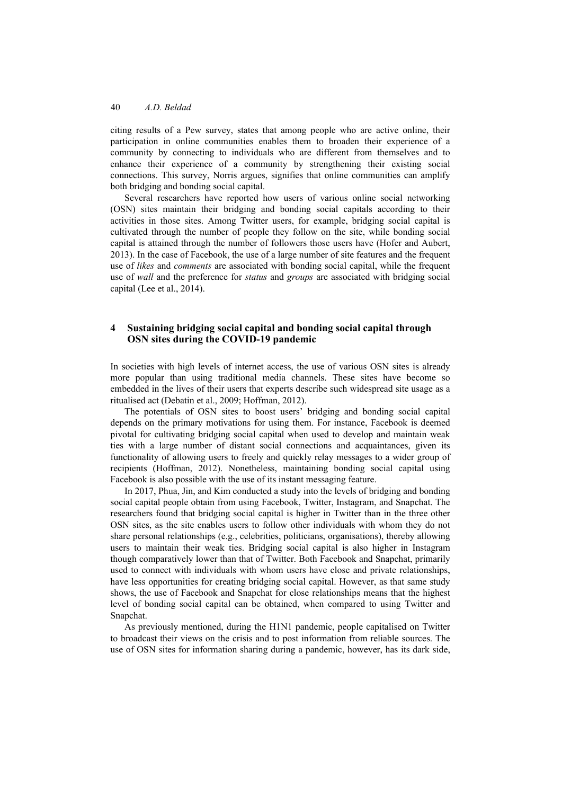citing results of a Pew survey, states that among people who are active online, their participation in online communities enables them to broaden their experience of a community by connecting to individuals who are different from themselves and to enhance their experience of a community by strengthening their existing social connections. This survey, Norris argues, signifies that online communities can amplify both bridging and bonding social capital.

Several researchers have reported how users of various online social networking (OSN) sites maintain their bridging and bonding social capitals according to their activities in those sites. Among Twitter users, for example, bridging social capital is cultivated through the number of people they follow on the site, while bonding social capital is attained through the number of followers those users have (Hofer and Aubert, 2013). In the case of Facebook, the use of a large number of site features and the frequent use of *likes* and *comments* are associated with bonding social capital, while the frequent use of *wall* and the preference for *status* and *groups* are associated with bridging social capital (Lee et al., 2014).

#### **4 Sustaining bridging social capital and bonding social capital through OSN sites during the COVID-19 pandemic**

In societies with high levels of internet access, the use of various OSN sites is already more popular than using traditional media channels. These sites have become so embedded in the lives of their users that experts describe such widespread site usage as a ritualised act (Debatin et al., 2009; Hoffman, 2012).

The potentials of OSN sites to boost users' bridging and bonding social capital depends on the primary motivations for using them. For instance, Facebook is deemed pivotal for cultivating bridging social capital when used to develop and maintain weak ties with a large number of distant social connections and acquaintances, given its functionality of allowing users to freely and quickly relay messages to a wider group of recipients (Hoffman, 2012). Nonetheless, maintaining bonding social capital using Facebook is also possible with the use of its instant messaging feature.

In 2017, Phua, Jin, and Kim conducted a study into the levels of bridging and bonding social capital people obtain from using Facebook, Twitter, Instagram, and Snapchat. The researchers found that bridging social capital is higher in Twitter than in the three other OSN sites, as the site enables users to follow other individuals with whom they do not share personal relationships (e.g., celebrities, politicians, organisations), thereby allowing users to maintain their weak ties. Bridging social capital is also higher in Instagram though comparatively lower than that of Twitter. Both Facebook and Snapchat, primarily used to connect with individuals with whom users have close and private relationships, have less opportunities for creating bridging social capital. However, as that same study shows, the use of Facebook and Snapchat for close relationships means that the highest level of bonding social capital can be obtained, when compared to using Twitter and Snapchat.

As previously mentioned, during the H1N1 pandemic, people capitalised on Twitter to broadcast their views on the crisis and to post information from reliable sources. The use of OSN sites for information sharing during a pandemic, however, has its dark side,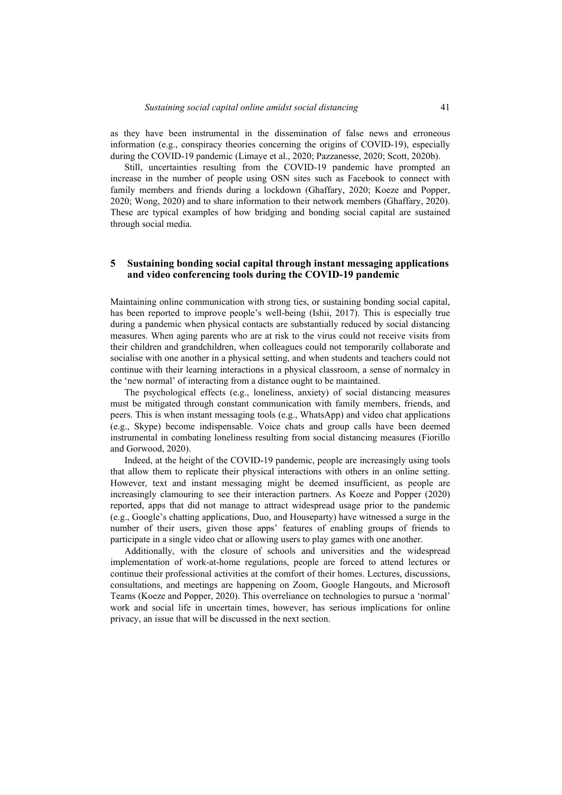as they have been instrumental in the dissemination of false news and erroneous information (e.g., conspiracy theories concerning the origins of COVID-19), especially during the COVID-19 pandemic (Limaye et al., 2020; Pazzanesse, 2020; Scott, 2020b).

Still, uncertainties resulting from the COVID-19 pandemic have prompted an increase in the number of people using OSN sites such as Facebook to connect with family members and friends during a lockdown (Ghaffary, 2020; Koeze and Popper, 2020; Wong, 2020) and to share information to their network members (Ghaffary, 2020). These are typical examples of how bridging and bonding social capital are sustained through social media.

## **5 Sustaining bonding social capital through instant messaging applications and video conferencing tools during the COVID-19 pandemic**

Maintaining online communication with strong ties, or sustaining bonding social capital, has been reported to improve people's well-being (Ishii, 2017). This is especially true during a pandemic when physical contacts are substantially reduced by social distancing measures. When aging parents who are at risk to the virus could not receive visits from their children and grandchildren, when colleagues could not temporarily collaborate and socialise with one another in a physical setting, and when students and teachers could not continue with their learning interactions in a physical classroom, a sense of normalcy in the 'new normal' of interacting from a distance ought to be maintained.

The psychological effects (e.g., loneliness, anxiety) of social distancing measures must be mitigated through constant communication with family members, friends, and peers. This is when instant messaging tools (e.g., WhatsApp) and video chat applications (e.g., Skype) become indispensable. Voice chats and group calls have been deemed instrumental in combating loneliness resulting from social distancing measures (Fiorillo and Gorwood, 2020).

Indeed, at the height of the COVID-19 pandemic, people are increasingly using tools that allow them to replicate their physical interactions with others in an online setting. However, text and instant messaging might be deemed insufficient, as people are increasingly clamouring to see their interaction partners. As Koeze and Popper (2020) reported, apps that did not manage to attract widespread usage prior to the pandemic (e.g., Google's chatting applications, Duo, and Houseparty) have witnessed a surge in the number of their users, given those apps' features of enabling groups of friends to participate in a single video chat or allowing users to play games with one another.

Additionally, with the closure of schools and universities and the widespread implementation of work-at-home regulations, people are forced to attend lectures or continue their professional activities at the comfort of their homes. Lectures, discussions, consultations, and meetings are happening on Zoom, Google Hangouts, and Microsoft Teams (Koeze and Popper, 2020). This overreliance on technologies to pursue a 'normal' work and social life in uncertain times, however, has serious implications for online privacy, an issue that will be discussed in the next section.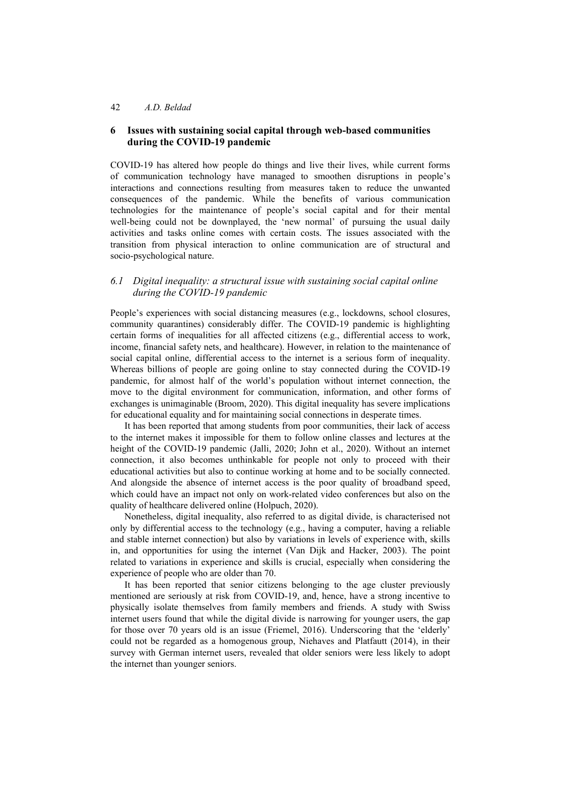## **6 Issues with sustaining social capital through web-based communities during the COVID-19 pandemic**

COVID-19 has altered how people do things and live their lives, while current forms of communication technology have managed to smoothen disruptions in people's interactions and connections resulting from measures taken to reduce the unwanted consequences of the pandemic. While the benefits of various communication technologies for the maintenance of people's social capital and for their mental well-being could not be downplayed, the 'new normal' of pursuing the usual daily activities and tasks online comes with certain costs. The issues associated with the transition from physical interaction to online communication are of structural and socio-psychological nature.

## *6.1 Digital inequality: a structural issue with sustaining social capital online during the COVID-19 pandemic*

People's experiences with social distancing measures (e.g., lockdowns, school closures, community quarantines) considerably differ. The COVID-19 pandemic is highlighting certain forms of inequalities for all affected citizens (e.g., differential access to work, income, financial safety nets, and healthcare). However, in relation to the maintenance of social capital online, differential access to the internet is a serious form of inequality. Whereas billions of people are going online to stay connected during the COVID-19 pandemic, for almost half of the world's population without internet connection, the move to the digital environment for communication, information, and other forms of exchanges is unimaginable (Broom, 2020). This digital inequality has severe implications for educational equality and for maintaining social connections in desperate times.

It has been reported that among students from poor communities, their lack of access to the internet makes it impossible for them to follow online classes and lectures at the height of the COVID-19 pandemic (Jalli, 2020; John et al., 2020). Without an internet connection, it also becomes unthinkable for people not only to proceed with their educational activities but also to continue working at home and to be socially connected. And alongside the absence of internet access is the poor quality of broadband speed, which could have an impact not only on work-related video conferences but also on the quality of healthcare delivered online (Holpuch, 2020).

Nonetheless, digital inequality, also referred to as digital divide, is characterised not only by differential access to the technology (e.g., having a computer, having a reliable and stable internet connection) but also by variations in levels of experience with, skills in, and opportunities for using the internet (Van Dijk and Hacker, 2003). The point related to variations in experience and skills is crucial, especially when considering the experience of people who are older than 70.

It has been reported that senior citizens belonging to the age cluster previously mentioned are seriously at risk from COVID-19, and, hence, have a strong incentive to physically isolate themselves from family members and friends. A study with Swiss internet users found that while the digital divide is narrowing for younger users, the gap for those over 70 years old is an issue (Friemel, 2016). Underscoring that the 'elderly' could not be regarded as a homogenous group, Niehaves and Platfautt (2014), in their survey with German internet users, revealed that older seniors were less likely to adopt the internet than younger seniors.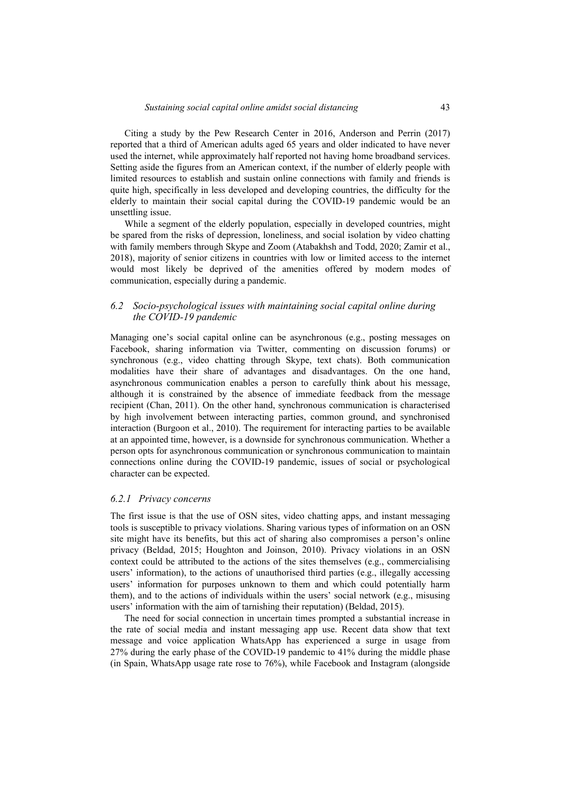Citing a study by the Pew Research Center in 2016, Anderson and Perrin (2017) reported that a third of American adults aged 65 years and older indicated to have never used the internet, while approximately half reported not having home broadband services. Setting aside the figures from an American context, if the number of elderly people with limited resources to establish and sustain online connections with family and friends is quite high, specifically in less developed and developing countries, the difficulty for the elderly to maintain their social capital during the COVID-19 pandemic would be an unsettling issue.

While a segment of the elderly population, especially in developed countries, might be spared from the risks of depression, loneliness, and social isolation by video chatting with family members through Skype and Zoom (Atabakhsh and Todd, 2020; Zamir et al., 2018), majority of senior citizens in countries with low or limited access to the internet would most likely be deprived of the amenities offered by modern modes of communication, especially during a pandemic.

#### *6.2 Socio-psychological issues with maintaining social capital online during the COVID-19 pandemic*

Managing one's social capital online can be asynchronous (e.g., posting messages on Facebook, sharing information via Twitter, commenting on discussion forums) or synchronous (e.g., video chatting through Skype, text chats). Both communication modalities have their share of advantages and disadvantages. On the one hand, asynchronous communication enables a person to carefully think about his message, although it is constrained by the absence of immediate feedback from the message recipient (Chan, 2011). On the other hand, synchronous communication is characterised by high involvement between interacting parties, common ground, and synchronised interaction (Burgoon et al., 2010). The requirement for interacting parties to be available at an appointed time, however, is a downside for synchronous communication. Whether a person opts for asynchronous communication or synchronous communication to maintain connections online during the COVID-19 pandemic, issues of social or psychological character can be expected.

#### *6.2.1 Privacy concerns*

The first issue is that the use of OSN sites, video chatting apps, and instant messaging tools is susceptible to privacy violations. Sharing various types of information on an OSN site might have its benefits, but this act of sharing also compromises a person's online privacy (Beldad, 2015; Houghton and Joinson, 2010). Privacy violations in an OSN context could be attributed to the actions of the sites themselves (e.g., commercialising users' information), to the actions of unauthorised third parties (e.g., illegally accessing users' information for purposes unknown to them and which could potentially harm them), and to the actions of individuals within the users' social network (e.g., misusing users' information with the aim of tarnishing their reputation) (Beldad, 2015).

The need for social connection in uncertain times prompted a substantial increase in the rate of social media and instant messaging app use. Recent data show that text message and voice application WhatsApp has experienced a surge in usage from 27% during the early phase of the COVID-19 pandemic to 41% during the middle phase (in Spain, WhatsApp usage rate rose to 76%), while Facebook and Instagram (alongside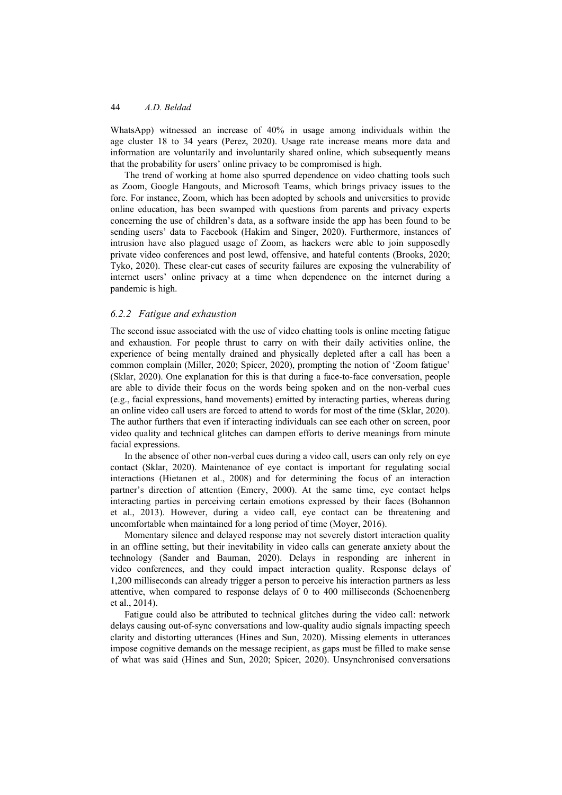WhatsApp) witnessed an increase of 40% in usage among individuals within the age cluster 18 to 34 years (Perez, 2020). Usage rate increase means more data and information are voluntarily and involuntarily shared online, which subsequently means that the probability for users' online privacy to be compromised is high.

The trend of working at home also spurred dependence on video chatting tools such as Zoom, Google Hangouts, and Microsoft Teams, which brings privacy issues to the fore. For instance, Zoom, which has been adopted by schools and universities to provide online education, has been swamped with questions from parents and privacy experts concerning the use of children's data, as a software inside the app has been found to be sending users' data to Facebook (Hakim and Singer, 2020). Furthermore, instances of intrusion have also plagued usage of Zoom, as hackers were able to join supposedly private video conferences and post lewd, offensive, and hateful contents (Brooks, 2020; Tyko, 2020). These clear-cut cases of security failures are exposing the vulnerability of internet users' online privacy at a time when dependence on the internet during a pandemic is high.

#### *6.2.2 Fatigue and exhaustion*

The second issue associated with the use of video chatting tools is online meeting fatigue and exhaustion. For people thrust to carry on with their daily activities online, the experience of being mentally drained and physically depleted after a call has been a common complain (Miller, 2020; Spicer, 2020), prompting the notion of 'Zoom fatigue' (Sklar, 2020). One explanation for this is that during a face-to-face conversation, people are able to divide their focus on the words being spoken and on the non-verbal cues (e.g., facial expressions, hand movements) emitted by interacting parties, whereas during an online video call users are forced to attend to words for most of the time (Sklar, 2020). The author furthers that even if interacting individuals can see each other on screen, poor video quality and technical glitches can dampen efforts to derive meanings from minute facial expressions.

In the absence of other non-verbal cues during a video call, users can only rely on eye contact (Sklar, 2020). Maintenance of eye contact is important for regulating social interactions (Hietanen et al., 2008) and for determining the focus of an interaction partner's direction of attention (Emery, 2000). At the same time, eye contact helps interacting parties in perceiving certain emotions expressed by their faces (Bohannon et al., 2013). However, during a video call, eye contact can be threatening and uncomfortable when maintained for a long period of time (Moyer, 2016).

Momentary silence and delayed response may not severely distort interaction quality in an offline setting, but their inevitability in video calls can generate anxiety about the technology (Sander and Bauman, 2020). Delays in responding are inherent in video conferences, and they could impact interaction quality. Response delays of 1,200 milliseconds can already trigger a person to perceive his interaction partners as less attentive, when compared to response delays of 0 to 400 milliseconds (Schoenenberg et al., 2014).

Fatigue could also be attributed to technical glitches during the video call: network delays causing out-of-sync conversations and low-quality audio signals impacting speech clarity and distorting utterances (Hines and Sun, 2020). Missing elements in utterances impose cognitive demands on the message recipient, as gaps must be filled to make sense of what was said (Hines and Sun, 2020; Spicer, 2020). Unsynchronised conversations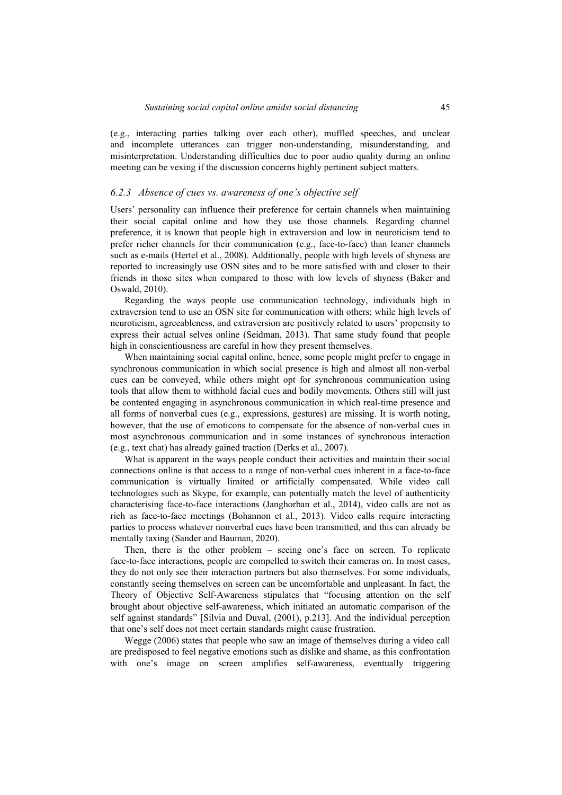(e.g., interacting parties talking over each other), muffled speeches, and unclear and incomplete utterances can trigger non-understanding, misunderstanding, and misinterpretation. Understanding difficulties due to poor audio quality during an online meeting can be vexing if the discussion concerns highly pertinent subject matters.

#### *6.2.3 Absence of cues vs. awareness of one's objective self*

Users' personality can influence their preference for certain channels when maintaining their social capital online and how they use those channels. Regarding channel preference, it is known that people high in extraversion and low in neuroticism tend to prefer richer channels for their communication (e.g., face-to-face) than leaner channels such as e-mails (Hertel et al., 2008). Additionally, people with high levels of shyness are reported to increasingly use OSN sites and to be more satisfied with and closer to their friends in those sites when compared to those with low levels of shyness (Baker and Oswald, 2010).

Regarding the ways people use communication technology, individuals high in extraversion tend to use an OSN site for communication with others; while high levels of neuroticism, agreeableness, and extraversion are positively related to users' propensity to express their actual selves online (Seidman, 2013). That same study found that people high in conscientiousness are careful in how they present themselves.

When maintaining social capital online, hence, some people might prefer to engage in synchronous communication in which social presence is high and almost all non-verbal cues can be conveyed, while others might opt for synchronous communication using tools that allow them to withhold facial cues and bodily movements. Others still will just be contented engaging in asynchronous communication in which real-time presence and all forms of nonverbal cues (e.g., expressions, gestures) are missing. It is worth noting, however, that the use of emoticons to compensate for the absence of non-verbal cues in most asynchronous communication and in some instances of synchronous interaction (e.g., text chat) has already gained traction (Derks et al., 2007).

What is apparent in the ways people conduct their activities and maintain their social connections online is that access to a range of non-verbal cues inherent in a face-to-face communication is virtually limited or artificially compensated. While video call technologies such as Skype, for example, can potentially match the level of authenticity characterising face-to-face interactions (Janghorban et al., 2014), video calls are not as rich as face-to-face meetings (Bohannon et al., 2013). Video calls require interacting parties to process whatever nonverbal cues have been transmitted, and this can already be mentally taxing (Sander and Bauman, 2020).

Then, there is the other problem – seeing one's face on screen. To replicate face-to-face interactions, people are compelled to switch their cameras on. In most cases, they do not only see their interaction partners but also themselves. For some individuals, constantly seeing themselves on screen can be uncomfortable and unpleasant. In fact, the Theory of Objective Self-Awareness stipulates that "focusing attention on the self brought about objective self-awareness, which initiated an automatic comparison of the self against standards" [Silvia and Duval, (2001), p.213]. And the individual perception that one's self does not meet certain standards might cause frustration.

Wegge (2006) states that people who saw an image of themselves during a video call are predisposed to feel negative emotions such as dislike and shame, as this confrontation with one's image on screen amplifies self-awareness, eventually triggering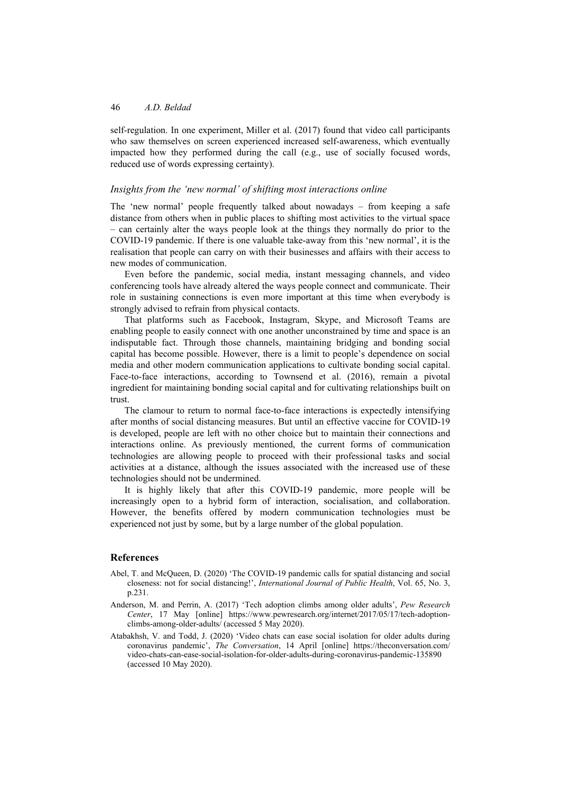self-regulation. In one experiment, Miller et al. (2017) found that video call participants who saw themselves on screen experienced increased self-awareness, which eventually impacted how they performed during the call (e.g., use of socially focused words, reduced use of words expressing certainty).

#### *Insights from the 'new normal' of shifting most interactions online*

The 'new normal' people frequently talked about nowadays – from keeping a safe distance from others when in public places to shifting most activities to the virtual space – can certainly alter the ways people look at the things they normally do prior to the COVID-19 pandemic. If there is one valuable take-away from this 'new normal', it is the realisation that people can carry on with their businesses and affairs with their access to new modes of communication.

Even before the pandemic, social media, instant messaging channels, and video conferencing tools have already altered the ways people connect and communicate. Their role in sustaining connections is even more important at this time when everybody is strongly advised to refrain from physical contacts.

That platforms such as Facebook, Instagram, Skype, and Microsoft Teams are enabling people to easily connect with one another unconstrained by time and space is an indisputable fact. Through those channels, maintaining bridging and bonding social capital has become possible. However, there is a limit to people's dependence on social media and other modern communication applications to cultivate bonding social capital. Face-to-face interactions, according to Townsend et al. (2016), remain a pivotal ingredient for maintaining bonding social capital and for cultivating relationships built on trust.

The clamour to return to normal face-to-face interactions is expectedly intensifying after months of social distancing measures. But until an effective vaccine for COVID-19 is developed, people are left with no other choice but to maintain their connections and interactions online. As previously mentioned, the current forms of communication technologies are allowing people to proceed with their professional tasks and social activities at a distance, although the issues associated with the increased use of these technologies should not be undermined.

It is highly likely that after this COVID-19 pandemic, more people will be increasingly open to a hybrid form of interaction, socialisation, and collaboration. However, the benefits offered by modern communication technologies must be experienced not just by some, but by a large number of the global population.

#### **References**

- Abel, T. and McQueen, D. (2020) 'The COVID-19 pandemic calls for spatial distancing and social closeness: not for social distancing!', *International Journal of Public Health*, Vol. 65, No. 3, p.231.
- Anderson, M. and Perrin, A. (2017) 'Tech adoption climbs among older adults', *Pew Research Center*, 17 May [online] https://www.pewresearch.org/internet/2017/05/17/tech-adoptionclimbs-among-older-adults/ (accessed 5 May 2020).
- Atabakhsh, V. and Todd, J. (2020) 'Video chats can ease social isolation for older adults during coronavirus pandemic', *The Conversation*, 14 April [online] https://theconversation.com/ video-chats-can-ease-social-isolation-for-older-adults-during-coronavirus-pandemic-135890 (accessed 10 May 2020).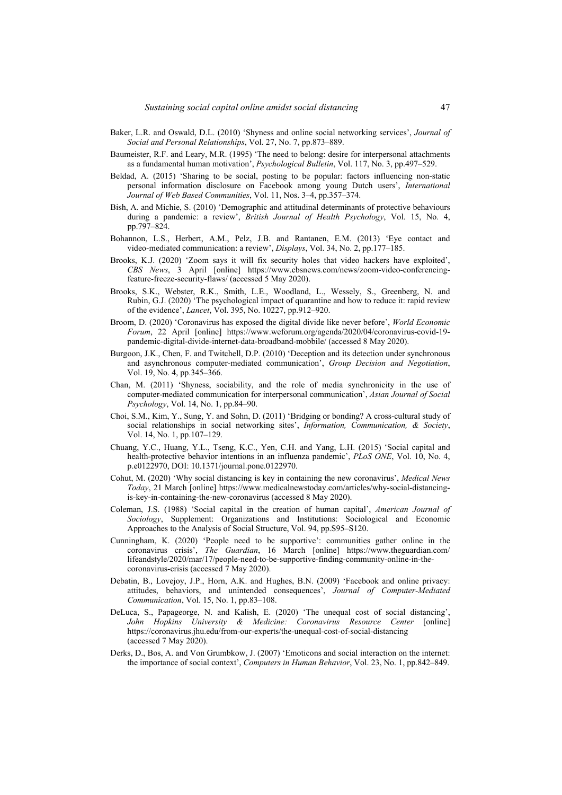- Baker, L.R. and Oswald, D.L. (2010) 'Shyness and online social networking services', *Journal of Social and Personal Relationships*, Vol. 27, No. 7, pp.873–889.
- Baumeister, R.F. and Leary, M.R. (1995) 'The need to belong: desire for interpersonal attachments as a fundamental human motivation', *Psychological Bulletin*, Vol. 117, No. 3, pp.497–529.
- Beldad, A. (2015) 'Sharing to be social, posting to be popular: factors influencing non-static personal information disclosure on Facebook among young Dutch users', *International Journal of Web Based Communities*, Vol. 11, Nos. 3–4, pp.357–374.
- Bish, A. and Michie, S. (2010) 'Demographic and attitudinal determinants of protective behaviours during a pandemic: a review', *British Journal of Health Psychology*, Vol. 15, No. 4, pp.797–824.
- Bohannon, L.S., Herbert, A.M., Pelz, J.B. and Rantanen, E.M. (2013) 'Eye contact and video-mediated communication: a review', *Displays*, Vol. 34, No. 2, pp.177–185.
- Brooks, K.J. (2020) 'Zoom says it will fix security holes that video hackers have exploited', *CBS News*, 3 April [online] https://www.cbsnews.com/news/zoom-video-conferencingfeature-freeze-security-flaws/ (accessed 5 May 2020).
- Brooks, S.K., Webster, R.K., Smith, L.E., Woodland, L., Wessely, S., Greenberg, N. and Rubin, G.J. (2020) 'The psychological impact of quarantine and how to reduce it: rapid review of the evidence', *Lancet*, Vol. 395, No. 10227, pp.912–920.
- Broom, D. (2020) 'Coronavirus has exposed the digital divide like never before', *World Economic Forum*, 22 April [online] https://www.weforum.org/agenda/2020/04/coronavirus-covid-19 pandemic-digital-divide-internet-data-broadband-mobbile/ (accessed 8 May 2020).
- Burgoon, J.K., Chen, F. and Twitchell, D.P. (2010) 'Deception and its detection under synchronous and asynchronous computer-mediated communication', *Group Decision and Negotiation*, Vol. 19, No. 4, pp.345–366.
- Chan, M. (2011) 'Shyness, sociability, and the role of media synchronicity in the use of computer‐mediated communication for interpersonal communication', *Asian Journal of Social Psychology*, Vol. 14, No. 1, pp.84–90.
- Choi, S.M., Kim, Y., Sung, Y. and Sohn, D. (2011) 'Bridging or bonding? A cross-cultural study of social relationships in social networking sites', *Information, Communication, & Society*, Vol. 14, No. 1, pp.107–129.
- Chuang, Y.C., Huang, Y.L., Tseng, K.C., Yen, C.H. and Yang, L.H. (2015) 'Social capital and health-protective behavior intentions in an influenza pandemic', *PLoS ONE*, Vol. 10, No. 4, p.e0122970, DOI: 10.1371/journal.pone.0122970.
- Cohut, M. (2020) 'Why social distancing is key in containing the new coronavirus', *Medical News Today*, 21 March [online] https://www.medicalnewstoday.com/articles/why-social-distancingis-key-in-containing-the-new-coronavirus (accessed 8 May 2020).
- Coleman, J.S. (1988) 'Social capital in the creation of human capital', *American Journal of Sociology*, Supplement: Organizations and Institutions: Sociological and Economic Approaches to the Analysis of Social Structure, Vol. 94, pp.S95–S120.
- Cunningham, K. (2020) 'People need to be supportive': communities gather online in the coronavirus crisis', *The Guardian*, 16 March [online] https://www.theguardian.com/ lifeandstyle/2020/mar/17/people-need-to-be-supportive-finding-community-online-in-thecoronavirus-crisis (accessed 7 May 2020).
- Debatin, B., Lovejoy, J.P., Horn, A.K. and Hughes, B.N. (2009) 'Facebook and online privacy: attitudes, behaviors, and unintended consequences', *Journal of Computer-Mediated Communication*, Vol. 15, No. 1, pp.83–108.
- DeLuca, S., Papageorge, N. and Kalish, E. (2020) 'The unequal cost of social distancing', *John Hopkins University & Medicine: Coronavirus Resource Center* [online] https://coronavirus.jhu.edu/from-our-experts/the-unequal-cost-of-social-distancing (accessed 7 May 2020).
- Derks, D., Bos, A. and Von Grumbkow, J. (2007) 'Emoticons and social interaction on the internet: the importance of social context', *Computers in Human Behavior*, Vol. 23, No. 1, pp.842–849.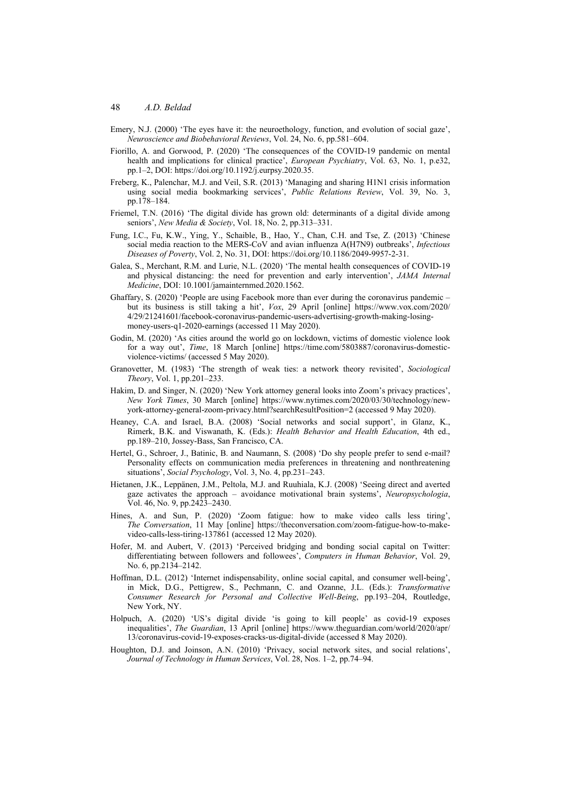- Emery, N.J. (2000) 'The eyes have it: the neuroethology, function, and evolution of social gaze', *Neuroscience and Biobehavioral Reviews*, Vol. 24, No. 6, pp.581–604.
- Fiorillo, A. and Gorwood, P. (2020) 'The consequences of the COVID-19 pandemic on mental health and implications for clinical practice', *European Psychiatry*, Vol. 63, No. 1, p.e32, pp.1–2, DOI: https://doi.org/10.1192/j.eurpsy.2020.35.
- Freberg, K., Palenchar, M.J. and Veil, S.R. (2013) 'Managing and sharing H1N1 crisis information using social media bookmarking services', *Public Relations Review*, Vol. 39, No. 3, pp.178–184.
- Friemel, T.N. (2016) 'The digital divide has grown old: determinants of a digital divide among seniors', *New Media & Society*, Vol. 18, No. 2, pp.313–331.
- Fung, I.C., Fu, K.W., Ying, Y., Schaible, B., Hao, Y., Chan, C.H. and Tse, Z. (2013) 'Chinese social media reaction to the MERS-CoV and avian influenza A(H7N9) outbreaks', *Infectious Diseases of Poverty*, Vol. 2, No. 31, DOI: https://doi.org/10.1186/2049-9957-2-31.
- Galea, S., Merchant, R.M. and Lurie, N.L. (2020) 'The mental health consequences of COVID-19 and physical distancing: the need for prevention and early intervention', *JAMA Internal Medicine*, DOI: 10.1001/jamainternmed.2020.1562.
- Ghaffary, S. (2020) 'People are using Facebook more than ever during the coronavirus pandemic but its business is still taking a hit', *Vox*, 29 April [online] https://www.vox.com/2020/ 4/29/21241601/facebook-coronavirus-pandemic-users-advertising-growth-making-losingmoney-users-q1-2020-earnings (accessed 11 May 2020).
- Godin, M. (2020) 'As cities around the world go on lockdown, victims of domestic violence look for a way out', *Time*, 18 March [online] https://time.com/5803887/coronavirus-domesticviolence-victims/ (accessed 5 May 2020).
- Granovetter, M. (1983) 'The strength of weak ties: a network theory revisited', *Sociological Theory*, Vol. 1, pp.201–233.
- Hakim, D. and Singer, N. (2020) 'New York attorney general looks into Zoom's privacy practices', *New York Times*, 30 March [online] https://www.nytimes.com/2020/03/30/technology/newyork-attorney-general-zoom-privacy.html?searchResultPosition=2 (accessed 9 May 2020).
- Heaney, C.A. and Israel, B.A. (2008) 'Social networks and social support', in Glanz, K., Rimerk, B.K. and Viswanath, K. (Eds.): *Health Behavior and Health Education*, 4th ed., pp.189–210, Jossey-Bass, San Francisco, CA.
- Hertel, G., Schroer, J., Batinic, B. and Naumann, S. (2008) 'Do shy people prefer to send e-mail? Personality effects on communication media preferences in threatening and nonthreatening situations', *Social Psychology*, Vol. 3, No. 4, pp.231–243.
- Hietanen, J.K., Leppänen, J.M., Peltola, M.J. and Ruuhiala, K.J. (2008) 'Seeing direct and averted gaze activates the approach – avoidance motivational brain systems', *Neuropsychologia*, Vol. 46, No. 9, pp.2423–2430.
- Hines, A. and Sun, P. (2020) 'Zoom fatigue: how to make video calls less tiring', *The Conversation*, 11 May [online] https://theconversation.com/zoom-fatigue-how-to-makevideo-calls-less-tiring-137861 (accessed 12 May 2020).
- Hofer, M. and Aubert, V. (2013) 'Perceived bridging and bonding social capital on Twitter: differentiating between followers and followees', *Computers in Human Behavior*, Vol. 29, No. 6, pp.2134–2142.
- Hoffman, D.L. (2012) 'Internet indispensability, online social capital, and consumer well-being', in Mick, D.G., Pettigrew, S., Pechmann, C. and Ozanne, J.L. (Eds.): *Transformative Consumer Research for Personal and Collective Well-Being*, pp.193–204, Routledge, New York, NY.
- Holpuch, A. (2020) 'US's digital divide 'is going to kill people' as covid-19 exposes inequalities', *The Guardian*, 13 April [online] https://www.theguardian.com/world/2020/apr/ 13/coronavirus-covid-19-exposes-cracks-us-digital-divide (accessed 8 May 2020).
- Houghton, D.J. and Joinson, A.N. (2010) 'Privacy, social network sites, and social relations', *Journal of Technology in Human Services*, Vol. 28, Nos. 1–2, pp.74–94.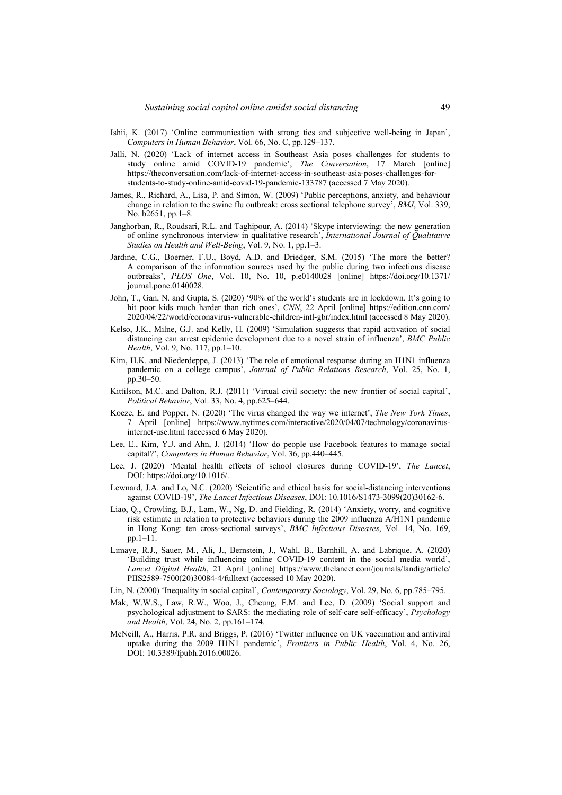- Ishii, K. (2017) 'Online communication with strong ties and subjective well-being in Japan', *Computers in Human Behavior*, Vol. 66, No. C, pp.129–137.
- Jalli, N. (2020) 'Lack of internet access in Southeast Asia poses challenges for students to study online amid COVID-19 pandemic', *The Conversation*, 17 March [online] https://theconversation.com/lack-of-internet-access-in-southeast-asia-poses-challenges-forstudents-to-study-online-amid-covid-19-pandemic-133787 (accessed 7 May 2020).
- James, R., Richard, A., Lisa, P. and Simon, W. (2009) 'Public perceptions, anxiety, and behaviour change in relation to the swine flu outbreak: cross sectional telephone survey', *BMJ*, Vol. 339, No. b2651, pp.1–8.
- Janghorban, R., Roudsari, R.L. and Taghipour, A. (2014) 'Skype interviewing: the new generation of online synchronous interview in qualitative research', *International Journal of Qualitative Studies on Health and Well-Being*, Vol. 9, No. 1, pp.1–3.
- Jardine, C.G., Boerner, F.U., Boyd, A.D. and Driedger, S.M. (2015) 'The more the better? A comparison of the information sources used by the public during two infectious disease outbreaks', *PLOS One*, Vol. 10, No. 10, p.e0140028 [online] https://doi.org/10.1371/ journal.pone.0140028.
- John, T., Gan, N. and Gupta, S. (2020) '90% of the world's students are in lockdown. It's going to hit poor kids much harder than rich ones', *CNN*, 22 April [online] https://edition.cnn.com/ 2020/04/22/world/coronavirus-vulnerable-children-intl-gbr/index.html (accessed 8 May 2020).
- Kelso, J.K., Milne, G.J. and Kelly, H. (2009) 'Simulation suggests that rapid activation of social distancing can arrest epidemic development due to a novel strain of influenza', *BMC Public Health*, Vol. 9, No. 117, pp.1–10.
- Kim, H.K. and Niederdeppe, J. (2013) 'The role of emotional response during an H1N1 influenza pandemic on a college campus', *Journal of Public Relations Research*, Vol. 25, No. 1, pp.30–50.
- Kittilson, M.C. and Dalton, R.J. (2011) 'Virtual civil society: the new frontier of social capital', *Political Behavior*, Vol. 33, No. 4, pp.625–644.
- Koeze, E. and Popper, N. (2020) 'The virus changed the way we internet', *The New York Times*, 7 April [online] https://www.nytimes.com/interactive/2020/04/07/technology/coronavirusinternet-use.html (accessed 6 May 2020).
- Lee, E., Kim, Y.J. and Ahn, J. (2014) 'How do people use Facebook features to manage social capital?', *Computers in Human Behavior*, Vol. 36, pp.440–445.
- Lee, J. (2020) 'Mental health effects of school closures during COVID-19', *The Lancet*, DOI: https://doi.org/10.1016/.
- Lewnard, J.A. and Lo, N.C. (2020) 'Scientific and ethical basis for social-distancing interventions against COVID-19', *The Lancet Infectious Diseases*, DOI: 10.1016/S1473-3099(20)30162-6.
- Liao, Q., Crowling, B.J., Lam, W., Ng, D. and Fielding, R. (2014) 'Anxiety, worry, and cognitive risk estimate in relation to protective behaviors during the 2009 influenza A/H1N1 pandemic in Hong Kong: ten cross-sectional surveys', *BMC Infectious Diseases*, Vol. 14, No. 169, pp.1–11.
- Limaye, R.J., Sauer, M., Ali, J., Bernstein, J., Wahl, B., Barnhill, A. and Labrique, A. (2020) 'Building trust while influencing online COVID-19 content in the social media world', *Lancet Digital Health*, 21 April [online] https://www.thelancet.com/journals/landig/article/ PIIS2589-7500(20)30084-4/fulltext (accessed 10 May 2020).
- Lin, N. (2000) 'Inequality in social capital', *Contemporary Sociology*, Vol. 29, No. 6, pp.785–795.
- Mak, W.W.S., Law, R.W., Woo, J., Cheung, F.M. and Lee, D. (2009) 'Social support and psychological adjustment to SARS: the mediating role of self-care self-efficacy', *Psychology and Health*, Vol. 24, No. 2, pp.161–174.
- McNeill, A., Harris, P.R. and Briggs, P. (2016) 'Twitter influence on UK vaccination and antiviral uptake during the 2009 H1N1 pandemic', *Frontiers in Public Health*, Vol. 4, No. 26, DOI: 10.3389/fpubh.2016.00026.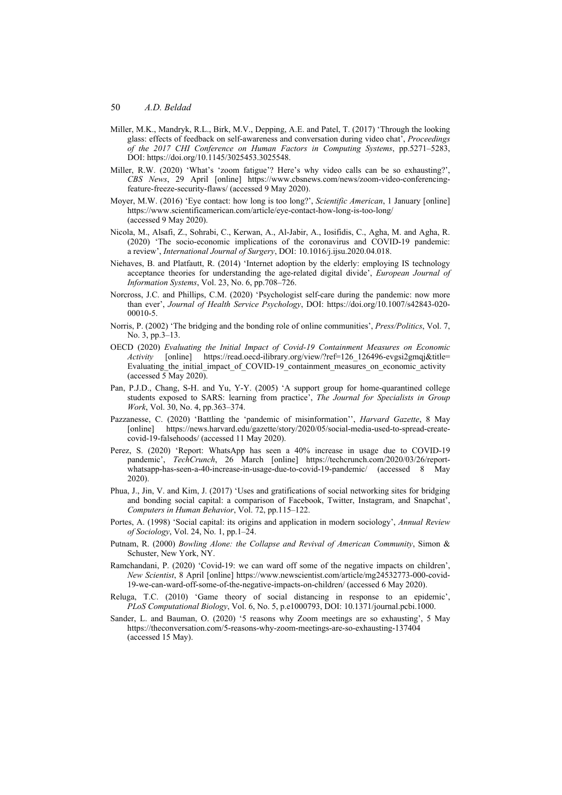- Miller, M.K., Mandryk, R.L., Birk, M.V., Depping, A.E. and Patel, T. (2017) 'Through the looking glass: effects of feedback on self-awareness and conversation during video chat', *Proceedings of the 2017 CHI Conference on Human Factors in Computing Systems*, pp.5271–5283, DOI: https://doi.org/10.1145/3025453.3025548.
- Miller, R.W. (2020) 'What's 'zoom fatigue'? Here's why video calls can be so exhausting?', *CBS News*, 29 April [online] https://www.cbsnews.com/news/zoom-video-conferencingfeature-freeze-security-flaws/ (accessed 9 May 2020).
- Moyer, M.W. (2016) 'Eye contact: how long is too long?', *Scientific American*, 1 January [online] https://www.scientificamerican.com/article/eye-contact-how-long-is-too-long/ (accessed 9 May 2020).
- Nicola, M., Alsafi, Z., Sohrabi, C., Kerwan, A., Al-Jabir, A., Iosifidis, C., Agha, M. and Agha, R. (2020) 'The socio-economic implications of the coronavirus and COVID-19 pandemic: a review', *International Journal of Surgery*, DOI: 10.1016/j.ijsu.2020.04.018.
- Niehaves, B. and Platfautt, R. (2014) 'Internet adoption by the elderly: employing IS technology acceptance theories for understanding the age-related digital divide', *European Journal of Information Systems*, Vol. 23, No. 6, pp.708–726.
- Norcross, J.C. and Phillips, C.M. (2020) 'Psychologist self-care during the pandemic: now more than ever', *Journal of Health Service Psychology*, DOI: https://doi.org/10.1007/s42843-020- 00010-5.
- Norris, P. (2002) 'The bridging and the bonding role of online communities', *Press/Politics*, Vol. 7, No. 3, pp.3–13.
- OECD (2020) *Evaluating the Initial Impact of Covid-19 Containment Measures on Economic Activity* [online] https://read.oecd-ilibrary.org/view/?ref=126\_126496-evgsi2gmqj&title= Evaluating the initial impact of COVID-19 containment measures on economic activity (accessed 5 May 2020).
- Pan, P.J.D., Chang, S-H. and Yu, Y-Y. (2005) 'A support group for home-quarantined college students exposed to SARS: learning from practice', *The Journal for Specialists in Group Work*, Vol. 30, No. 4, pp.363–374.
- Pazzanesse, C. (2020) 'Battling the 'pandemic of misinformation'', *Harvard Gazette*, 8 May [online] https://news.harvard.edu/gazette/story/2020/05/social-media-used-to-spread-createcovid-19-falsehoods/ (accessed 11 May 2020).
- Perez, S. (2020) 'Report: WhatsApp has seen a 40% increase in usage due to COVID-19 pandemic', *TechCrunch*, 26 March [online] https://techcrunch.com/2020/03/26/reportwhatsapp-has-seen-a-40-increase-in-usage-due-to-covid-19-pandemic/ (accessed 8 May 2020).
- Phua, J., Jin, V. and Kim, J. (2017) 'Uses and gratifications of social networking sites for bridging and bonding social capital: a comparison of Facebook, Twitter, Instagram, and Snapchat', *Computers in Human Behavior*, Vol. 72, pp.115–122.
- Portes, A. (1998) 'Social capital: its origins and application in modern sociology', *Annual Review of Sociology*, Vol. 24, No. 1, pp.1–24.
- Putnam, R. (2000) *Bowling Alone: the Collapse and Revival of American Community*, Simon & Schuster, New York, NY.
- Ramchandani, P. (2020) 'Covid-19: we can ward off some of the negative impacts on children', *New Scientist*, 8 April [online] https://www.newscientist.com/article/mg24532773-000-covid-19-we-can-ward-off-some-of-the-negative-impacts-on-children/ (accessed 6 May 2020).
- Reluga, T.C. (2010) 'Game theory of social distancing in response to an epidemic', *PLoS Computational Biology*, Vol. 6, No. 5, p.e1000793, DOI: 10.1371/journal.pcbi.1000.
- Sander, L. and Bauman, O. (2020) '5 reasons why Zoom meetings are so exhausting', 5 May https://theconversation.com/5-reasons-why-zoom-meetings-are-so-exhausting-137404 (accessed 15 May).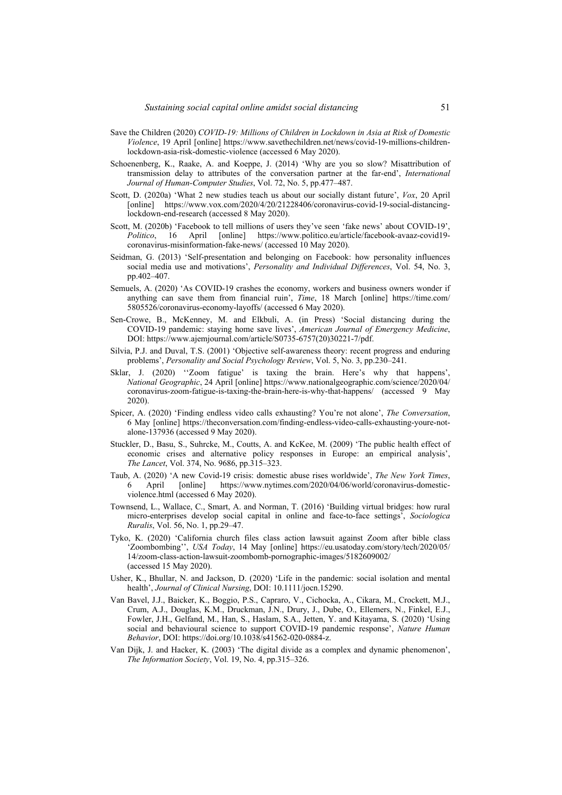- Save the Children (2020) *COVID-19: Millions of Children in Lockdown in Asia at Risk of Domestic Violence*, 19 April [online] https://www.savethechildren.net/news/covid-19-millions-childrenlockdown-asia-risk-domestic-violence (accessed 6 May 2020).
- Schoenenberg, K., Raake, A. and Koeppe, J. (2014) 'Why are you so slow? Misattribution of transmission delay to attributes of the conversation partner at the far-end', *International Journal of Human-Computer Studies*, Vol. 72, No. 5, pp.477–487.
- Scott, D. (2020a) 'What 2 new studies teach us about our socially distant future', *Vox*, 20 April [online] https://www.vox.com/2020/4/20/21228406/coronavirus-covid-19-social-distancinglockdown-end-research (accessed 8 May 2020).
- Scott, M. (2020b) 'Facebook to tell millions of users they've seen 'fake news' about COVID-19', *Politico*, 16 April [online] https://www.politico.eu/article/facebook-avaaz-covid19 coronavirus-misinformation-fake-news/ (accessed 10 May 2020).
- Seidman, G. (2013) 'Self-presentation and belonging on Facebook: how personality influences social media use and motivations', *Personality and Individual Differences*, Vol. 54, No. 3, pp.402–407.
- Semuels, A. (2020) 'As COVID-19 crashes the economy, workers and business owners wonder if anything can save them from financial ruin', *Time*, 18 March [online] https://time.com/ 5805526/coronavirus-economy-layoffs/ (accessed 6 May 2020).
- Sen-Crowe, B., McKenney, M. and Elkbuli, A. (in Press) 'Social distancing during the COVID-19 pandemic: staying home save lives', *American Journal of Emergency Medicine*, DOI: https://www.ajemjournal.com/article/S0735-6757(20)30221-7/pdf.
- Silvia, P.J. and Duval, T.S. (2001) 'Objective self-awareness theory: recent progress and enduring problems', *Personality and Social Psychology Review*, Vol. 5, No. 3, pp.230–241.
- Sklar, J. (2020) ''Zoom fatigue' is taxing the brain. Here's why that happens', *National Geographic*, 24 April [online] https://www.nationalgeographic.com/science/2020/04/ coronavirus-zoom-fatigue-is-taxing-the-brain-here-is-why-that-happens/ (accessed 9 May 2020).
- Spicer, A. (2020) 'Finding endless video calls exhausting? You're not alone', *The Conversation*, 6 May [online] https://theconversation.com/finding-endless-video-calls-exhausting-youre-notalone-137936 (accessed 9 May 2020).
- Stuckler, D., Basu, S., Suhrcke, M., Coutts, A. and KcKee, M. (2009) 'The public health effect of economic crises and alternative policy responses in Europe: an empirical analysis', *The Lancet*, Vol. 374, No. 9686, pp.315–323.
- Taub, A. (2020) 'A new Covid-19 crisis: domestic abuse rises worldwide', *The New York Times*, 6 April [online] https://www.nytimes.com/2020/04/06/world/coronavirus-domesticviolence.html (accessed 6 May 2020).
- Townsend, L., Wallace, C., Smart, A. and Norman, T. (2016) 'Building virtual bridges: how rural micro-enterprises develop social capital in online and face-to-face settings', *Sociologica Ruralis*, Vol. 56, No. 1, pp.29–47.
- Tyko, K. (2020) 'California church files class action lawsuit against Zoom after bible class 'Zoombombing'', *USA Today*, 14 May [online] https://eu.usatoday.com/story/tech/2020/05/ 14/zoom-class-action-lawsuit-zoombomb-pornographic-images/5182609002/ (accessed 15 May 2020).
- Usher, K., Bhullar, N. and Jackson, D. (2020) 'Life in the pandemic: social isolation and mental health', *Journal of Clinical Nursing*, DOI: 10.1111/jocn.15290.
- Van Bavel, J.J., Baicker, K., Boggio, P.S., Capraro, V., Cichocka, A., Cikara, M., Crockett, M.J., Crum, A.J., Douglas, K.M., Druckman, J.N., Drury, J., Dube, O., Ellemers, N., Finkel, E.J., Fowler, J.H., Gelfand, M., Han, S., Haslam, S.A., Jetten, Y. and Kitayama, S. (2020) 'Using social and behavioural science to support COVID-19 pandemic response', *Nature Human Behavior*, DOI: https://doi.org/10.1038/s41562-020-0884-z.
- Van Dijk, J. and Hacker, K. (2003) 'The digital divide as a complex and dynamic phenomenon', *The Information Society*, Vol. 19, No. 4, pp.315–326.